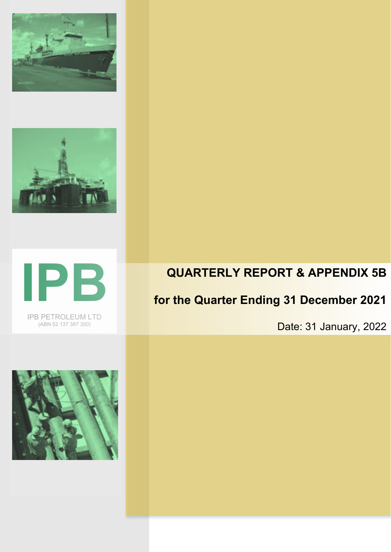





IPB PETROLEUM LTD (ABN 52 137 387 350)

# **QUARTERLY REPORT & APPENDIX 5B**

# **for the Quarter Ending 31 December 2021**

Date: 31 January, 2022

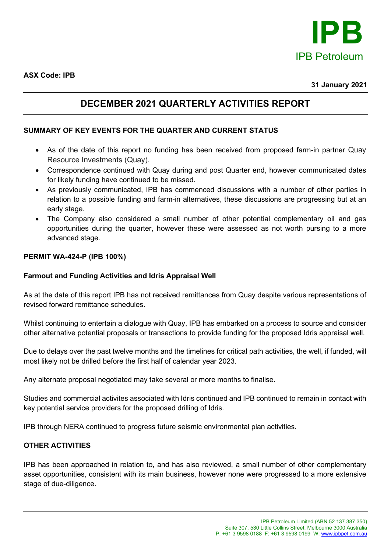

**ASX Code: IPB**

### **DECEMBER 2021 QUARTERLY ACTIVITIES REPORT**

### **SUMMARY OF KEY EVENTS FOR THE QUARTER AND CURRENT STATUS**

- As of the date of this report no funding has been received from proposed farm-in partner Quay Resource Investments (Quay).
- Correspondence continued with Quay during and post Quarter end, however communicated dates for likely funding have continued to be missed.
- As previously communicated, IPB has commenced discussions with a number of other parties in relation to a possible funding and farm-in alternatives, these discussions are progressing but at an early stage.
- The Company also considered a small number of other potential complementary oil and gas opportunities during the quarter, however these were assessed as not worth pursing to a more advanced stage.

#### **PERMIT WA-424-P (IPB 100%)**

#### **Farmout and Funding Activities and Idris Appraisal Well**

As at the date of this report IPB has not received remittances from Quay despite various representations of revised forward remittance schedules.

Whilst continuing to entertain a dialogue with Quay, IPB has embarked on a process to source and consider other alternative potential proposals or transactions to provide funding for the proposed Idris appraisal well.

Due to delays over the past twelve months and the timelines for critical path activities, the well, if funded, will most likely not be drilled before the first half of calendar year 2023.

Any alternate proposal negotiated may take several or more months to finalise.

Studies and commercial activites associated with Idris continued and IPB continued to remain in contact with key potential service providers for the proposed drilling of Idris.

IPB through NERA continued to progress future seismic environmental plan activities.

#### **OTHER ACTIVITIES**

IPB has been approached in relation to, and has also reviewed, a small number of other complementary asset opportunities, consistent with its main business, however none were progressed to a more extensive stage of due-diligence.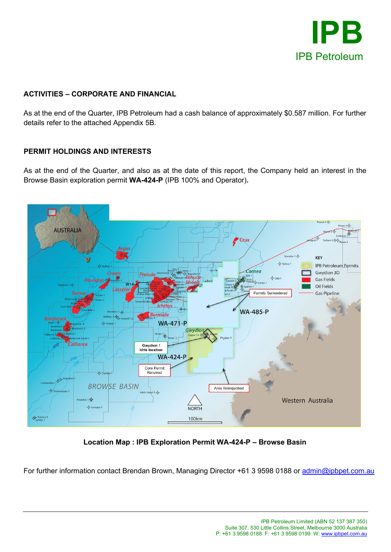

### **ACTIVITIES – CORPORATE AND FINANCIAL**

As at the end of the Quarter, IPB Petroleum had a cash balance of approximately \$0.587 million. For further details refer to the attached Appendix 5B.

#### **PERMIT HOLDINGS AND INTERESTS**

As at the end of the Quarter, and also as at the date of this report, the Company held an interest in the Browse Basin exploration permit **WA-424-P** (IPB 100% and Operator)**.**



**Location Map : IPB Exploration Permit WA-424-P – Browse Basin**

For further information contact Brendan Brown, Managing Director +61 3 9598 0188 or [admin@ipbpet.com.au](mailto:admin@ipbpet.com.au)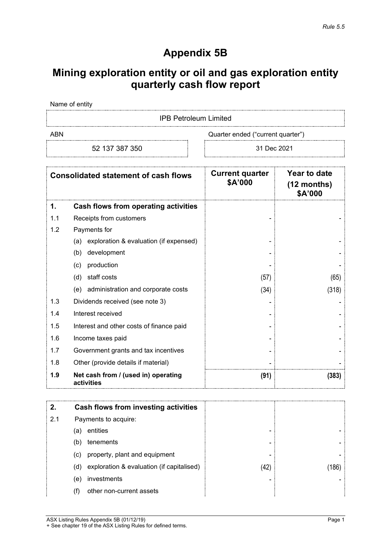## **Appendix 5B**

## **Mining exploration entity or oil and gas exploration entity quarterly cash flow report**

Name of entity

IPB Petroleum Limited

ABN Cuarter ended ("current quarter")

52 137 387 350 31 Dec 2021

| <b>Consolidated statement of cash flows</b> |                                                   | <b>Current quarter</b><br>\$A'000 | Year to date<br>$(12$ months)<br>\$A'000 |
|---------------------------------------------|---------------------------------------------------|-----------------------------------|------------------------------------------|
| 1.                                          | <b>Cash flows from operating activities</b>       |                                   |                                          |
| 1.1                                         | Receipts from customers                           |                                   |                                          |
| 1.2                                         | Payments for                                      |                                   |                                          |
|                                             | exploration & evaluation (if expensed)<br>(a)     |                                   |                                          |
|                                             | development<br>(b)                                |                                   |                                          |
|                                             | production<br>(c)                                 |                                   |                                          |
|                                             | staff costs<br>(d)                                | (57)                              | (65)                                     |
|                                             | administration and corporate costs<br>(e)         | (34)                              | (318)                                    |
| 1.3                                         | Dividends received (see note 3)                   |                                   |                                          |
| 1.4                                         | Interest received                                 |                                   |                                          |
| 1.5                                         | Interest and other costs of finance paid          |                                   |                                          |
| 1.6                                         | Income taxes paid                                 |                                   |                                          |
| 1.7                                         | Government grants and tax incentives              |                                   |                                          |
| 1.8                                         | Other (provide details if material)               |                                   |                                          |
| 1.9                                         | Net cash from / (used in) operating<br>activities | (91)                              | (383)                                    |

|     |                      | Cash flows from investing activities      |      |     |
|-----|----------------------|-------------------------------------------|------|-----|
| 2.1 | Payments to acquire: |                                           |      |     |
|     | (a                   | entities                                  | -    |     |
|     | (b)                  | tenements                                 | -    |     |
|     | (C)                  | property, plant and equipment             | -    |     |
|     | (d)                  | exploration & evaluation (if capitalised) | (42) | .86 |
|     | (e)                  | investments                               | -    |     |
|     | (f)                  | other non-current assets                  |      |     |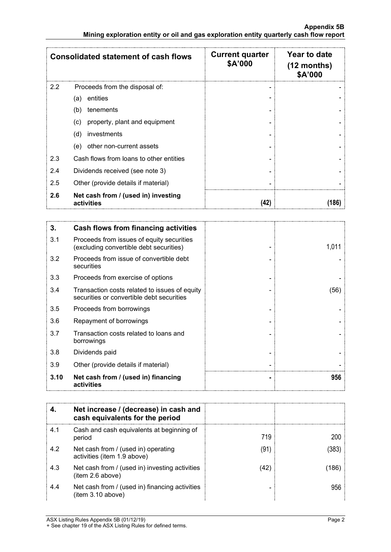|     | <b>Consolidated statement of cash flows</b>       | <b>Current quarter</b><br>\$A'000 | Year to date<br>$(12$ months)<br>\$A'000 |
|-----|---------------------------------------------------|-----------------------------------|------------------------------------------|
| 2.2 | Proceeds from the disposal of:                    |                                   |                                          |
|     | entities<br>(a)                                   |                                   |                                          |
|     | tenements<br>(b)                                  |                                   |                                          |
|     | property, plant and equipment<br>(c)              |                                   |                                          |
|     | (d)<br>investments                                |                                   |                                          |
|     | other non-current assets<br>(e)                   |                                   |                                          |
| 2.3 | Cash flows from loans to other entities           |                                   |                                          |
| 2.4 | Dividends received (see note 3)                   |                                   |                                          |
| 2.5 | Other (provide details if material)               |                                   |                                          |
| 2.6 | Net cash from / (used in) investing<br>activities | (42)                              | 186                                      |

| 3.   | Cash flows from financing activities                                                       |       |
|------|--------------------------------------------------------------------------------------------|-------|
| 3.1  | Proceeds from issues of equity securities<br>(excluding convertible debt securities)       | 1,011 |
| 3.2  | Proceeds from issue of convertible debt<br>securities                                      |       |
| 3.3  | Proceeds from exercise of options                                                          |       |
| 3.4  | Transaction costs related to issues of equity<br>securities or convertible debt securities | (56)  |
| 3.5  | Proceeds from borrowings                                                                   |       |
| 3.6  | Repayment of borrowings                                                                    |       |
| 3.7  | Transaction costs related to loans and<br>borrowings                                       |       |
| 3.8  | Dividends paid                                                                             |       |
| 3.9  | Other (provide details if material)                                                        |       |
| 3.10 | Net cash from / (used in) financing<br>activities                                          | 956   |

|     | Net increase / (decrease) in cash and<br>cash equivalents for the period |     |  |
|-----|--------------------------------------------------------------------------|-----|--|
| 4.1 | Cash and cash equivalents at beginning of<br>period                      | 719 |  |
| 4.2 | Net cash from / (used in) operating<br>activities (item 1.9 above)       | (91 |  |
| 4.3 | Net cash from / (used in) investing activities<br>item 2.6 above)        | (42 |  |
| 4.4 | Net cash from / (used in) financing activities<br>item 3.10 above)       |     |  |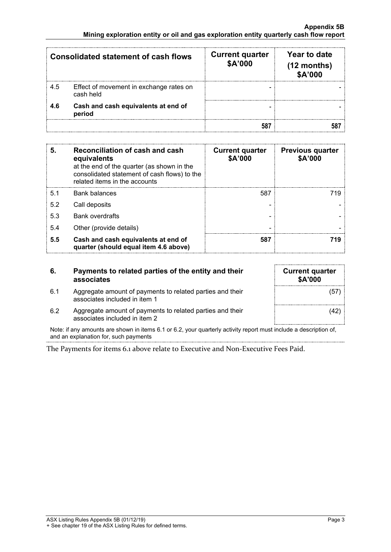| <b>Consolidated statement of cash flows</b> |                                                      | <b>Current quarter</b><br>\$A'000 | Year to date<br>$(12$ months)<br>\$A'000 |
|---------------------------------------------|------------------------------------------------------|-----------------------------------|------------------------------------------|
| 4.5                                         | Effect of movement in exchange rates on<br>cash held |                                   |                                          |
| 4.6                                         | Cash and cash equivalents at end of<br>period        |                                   |                                          |
|                                             |                                                      |                                   |                                          |

| 5.             | Reconciliation of cash and cash<br>equivalents<br>at the end of the quarter (as shown in the<br>consolidated statement of cash flows) to the<br>related items in the accounts | <b>Current quarter</b><br>\$A'000 | <b>Previous quarter</b><br>\$A'000 |
|----------------|-------------------------------------------------------------------------------------------------------------------------------------------------------------------------------|-----------------------------------|------------------------------------|
| 5 <sub>1</sub> | <b>Bank balances</b>                                                                                                                                                          | 587                               | 719                                |
| 5.2            | Call deposits                                                                                                                                                                 |                                   |                                    |
| 5.3            | <b>Bank overdrafts</b>                                                                                                                                                        |                                   |                                    |
| 5.4            | Other (provide details)                                                                                                                                                       |                                   |                                    |
| 5.5            | Cash and cash equivalents at end of<br>quarter (should equal item 4.6 above)                                                                                                  | 587                               |                                    |

| 6.  | Payments to related parties of the entity and their<br>associates                          | <b>Current quarter</b><br><b>\$A'000</b> |
|-----|--------------------------------------------------------------------------------------------|------------------------------------------|
| 6.1 | Aggregate amount of payments to related parties and their<br>associates included in item 1 | (57)                                     |
| 6.2 | Aggregate amount of payments to related parties and their<br>associates included in item 2 | (42)                                     |

Note: if any amounts are shown in items 6.1 or 6.2, your quarterly activity report must include a description of, and an explanation for, such payments

The Payments for items 6.1 above relate to Executive and Non-Executive Fees Paid.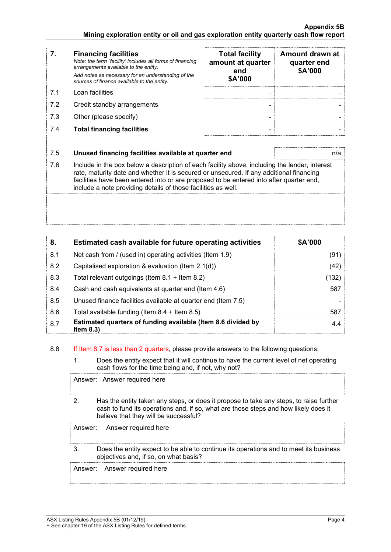- **7. Financing facilities** *Note: the term "facility' includes all forms of financing arrangements available to the entity. Add notes as necessary for an understanding of the sources of finance available to the entity.*
- 
- 7.2 Credit standby arrangements
- 7.3 Other (please specify)
- 7.4 **Total financing facilities - -**

|     | <b>Financing facilities</b><br>Note: the term "facility' includes all forms of financing<br>arrangements available to the entity.<br>Add notes as necessary for an understanding of the<br>sources of finance available to the entity. | <b>Total facility</b><br>amount at quarter<br>end<br>\$A'000 | Amount drawn at<br>quarter end<br>\$A'000 |
|-----|----------------------------------------------------------------------------------------------------------------------------------------------------------------------------------------------------------------------------------------|--------------------------------------------------------------|-------------------------------------------|
| 71  | Loan facilities                                                                                                                                                                                                                        |                                                              |                                           |
| 7.2 | Credit standby arrangements                                                                                                                                                                                                            |                                                              |                                           |
| 7.3 | Other (please specify)                                                                                                                                                                                                                 |                                                              |                                           |
| 7.4 | <b>Total financing facilities</b>                                                                                                                                                                                                      |                                                              |                                           |

#### 7.5 **Unused financing facilities available at quarter end** n/a

7.6 Include in the box below a description of each facility above, including the lender, interest rate, maturity date and whether it is secured or unsecured. If any additional financing facilities have been entered into or are proposed to be entered into after quarter end, include a note providing details of those facilities as well.

| 8.  | Estimated cash available for future operating activities                     | \$A'000 |
|-----|------------------------------------------------------------------------------|---------|
| 8.1 | Net cash from / (used in) operating activities (Item 1.9)                    | (91)    |
| 8.2 | Capitalised exploration & evaluation (Item $2.1(d)$ )                        | (42)    |
| 8.3 | Total relevant outgoings (Item $8.1 +$ Item $8.2$ )                          | (132)   |
| 8.4 | Cash and cash equivalents at quarter end (Item 4.6)                          | 587     |
| 8.5 | Unused finance facilities available at quarter end (Item 7.5)                |         |
| 8.6 | Total available funding (Item $8.4 +$ Item $8.5$ )                           | 587     |
| 8.7 | Estimated quarters of funding available (Item 8.6 divided by<br>Item $8.3$ ) | 4.4     |

#### 8.8 If Item 8.7 is less than 2 quarters, please provide answers to the following questions:

1. Does the entity expect that it will continue to have the current level of net operating cash flows for the time being and, if not, why not?

Answer: Answer required here

2. Has the entity taken any steps, or does it propose to take any steps, to raise further cash to fund its operations and, if so, what are those steps and how likely does it believe that they will be successful?

Answer: Answer required here

3. Does the entity expect to be able to continue its operations and to meet its business objectives and, if so, on what basis?

Answer: Answer required here